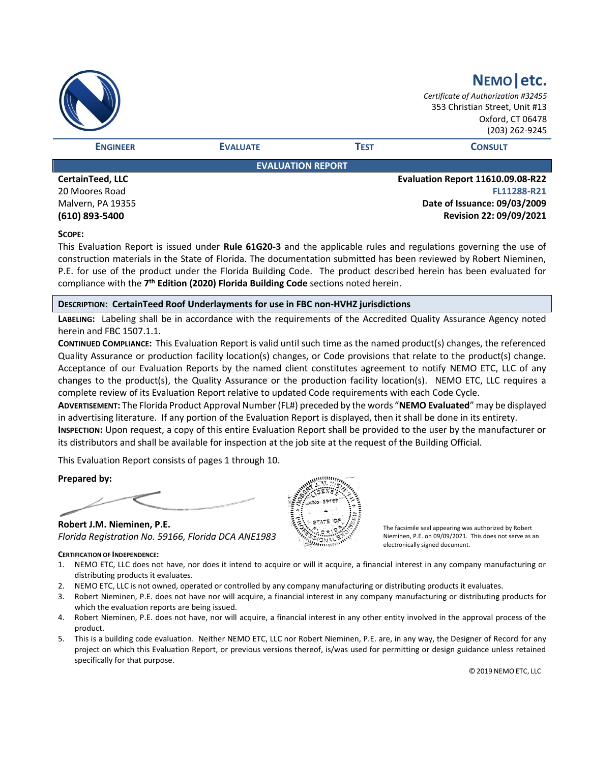|                  |                          |             | NEMO etc.<br>Certificate of Authorization #32455<br>353 Christian Street, Unit #13<br>Oxford, CT 06478<br>(203) 262-9245 |
|------------------|--------------------------|-------------|--------------------------------------------------------------------------------------------------------------------------|
| <b>ENGINEER</b>  | <b>EVALUATE</b>          | <b>TEST</b> | <b>CONSULT</b>                                                                                                           |
|                  | <b>EVALUATION REPORT</b> |             |                                                                                                                          |
| CertainTeed, LLC |                          |             | <b>Evaluation Report 11610.09.08-R22</b>                                                                                 |
| 20 Moores Road   |                          |             | FL11288-R21                                                                                                              |

20 Moores Road Malvern, PA 19355 **(610) 893-5400**

**FL11288-R21 Date of Issuance: 09/03/2009 Revision 22: 09/09/2021**

# **SCOPE:**

This Evaluation Report is issued under **Rule 61G20-3** and the applicable rules and regulations governing the use of construction materials in the State of Florida. The documentation submitted has been reviewed by Robert Nieminen, P.E. for use of the product under the Florida Building Code. The product described herein has been evaluated for compliance with the **7 th Edition (2020) Florida Building Code** sections noted herein.

# **DESCRIPTION: CertainTeed Roof Underlayments for use in FBC non-HVHZ jurisdictions**

**LABELING:** Labeling shall be in accordance with the requirements of the Accredited Quality Assurance Agency noted herein and FBC 1507.1.1.

**CONTINUED COMPLIANCE:** This Evaluation Report is valid until such time as the named product(s) changes, the referenced Quality Assurance or production facility location(s) changes, or Code provisions that relate to the product(s) change. Acceptance of our Evaluation Reports by the named client constitutes agreement to notify NEMO ETC, LLC of any changes to the product(s), the Quality Assurance or the production facility location(s). NEMO ETC, LLC requires a complete review of its Evaluation Report relative to updated Code requirements with each Code Cycle.

**ADVERTISEMENT:** The Florida Product Approval Number (FL#) preceded by the words "**NEMO Evaluated**" may be displayed in advertising literature. If any portion of the Evaluation Report is displayed, then it shall be done in its entirety.

**INSPECTION:** Upon request, a copy of this entire Evaluation Report shall be provided to the user by the manufacturer or its distributors and shall be available for inspection at the job site at the request of the Building Official.

This Evaluation Report consists of pages 1 through 10.

**Prepared by:**

**Robert J.M. Nieminen, P.E.** *Florida Registration No. 59166, Florida DCA ANE1983*

The facsimile seal appearing was authorized by Robert Nieminen, P.E. on 09/09/2021. This does not serve as an electronically signed document.

## **CERTIFICATION OF INDEPENDENCE:**

- 1. NEMO ETC, LLC does not have, nor does it intend to acquire or will it acquire, a financial interest in any company manufacturing or distributing products it evaluates.
- 2. NEMO ETC, LLC is not owned, operated or controlled by any company manufacturing or distributing products it evaluates.
- 3. Robert Nieminen, P.E. does not have nor will acquire, a financial interest in any company manufacturing or distributing products for which the evaluation reports are being issued.
- 4. Robert Nieminen, P.E. does not have, nor will acquire, a financial interest in any other entity involved in the approval process of the product.
- 5. This is a building code evaluation. Neither NEMO ETC, LLC nor Robert Nieminen, P.E. are, in any way, the Designer of Record for any project on which this Evaluation Report, or previous versions thereof, is/was used for permitting or design guidance unless retained specifically for that purpose.

© 2019 NEMO ETC, LLC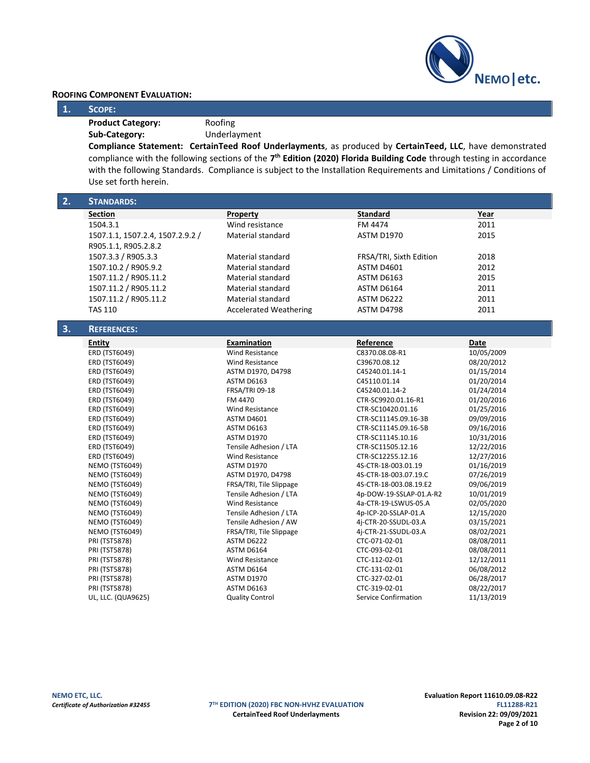

# **ROOFING COMPONENT EVALUATION:**

## **1. SCOPE:**

**Product Category:** Roofing

**Sub-Category:** Underlayment

**Compliance Statement: CertainTeed Roof Underlayments**, as produced by **CertainTeed, LLC**, have demonstrated compliance with the following sections of the **7 th Edition (2020) Florida Building Code** through testing in accordance with the following Standards. Compliance is subject to the Installation Requirements and Limitations / Conditions of Use set forth herein.

| 2. | <b>STANDARDS:</b>                |                               |                             |            |
|----|----------------------------------|-------------------------------|-----------------------------|------------|
|    | <b>Section</b>                   | Property                      | <b>Standard</b>             | Year       |
|    | 1504.3.1                         | Wind resistance               | FM 4474                     | 2011       |
|    | 1507.1.1, 1507.2.4, 1507.2.9.2 / | Material standard             | <b>ASTM D1970</b>           | 2015       |
|    | R905.1.1, R905.2.8.2             |                               |                             |            |
|    | 1507.3.3 / R905.3.3              | Material standard             | FRSA/TRI, Sixth Edition     | 2018       |
|    | 1507.10.2 / R905.9.2             | Material standard             | <b>ASTM D4601</b>           | 2012       |
|    | 1507.11.2 / R905.11.2            | <b>Material standard</b>      | <b>ASTM D6163</b>           | 2015       |
|    |                                  | <b>Material standard</b>      | ASTM D6164                  | 2011       |
|    | 1507.11.2 / R905.11.2            |                               |                             |            |
|    | 1507.11.2 / R905.11.2            | <b>Material standard</b>      | ASTM D6222                  | 2011       |
|    | <b>TAS 110</b>                   | <b>Accelerated Weathering</b> | ASTM D4798                  | 2011       |
| 3. | <b>REFERENCES:</b>               |                               |                             |            |
|    | Entity                           | Examination                   | Reference                   | Date       |
|    | ERD (TST6049)                    | Wind Resistance               | C8370.08.08-R1              | 10/05/2009 |
|    | ERD (TST6049)                    | <b>Wind Resistance</b>        | C39670.08.12                | 08/20/2012 |
|    | ERD (TST6049)                    | ASTM D1970, D4798             | C45240.01.14-1              | 01/15/2014 |
|    | ERD (TST6049)                    | <b>ASTM D6163</b>             | C45110.01.14                | 01/20/2014 |
|    | ERD (TST6049)                    | FRSA/TRI 09-18                | C45240.01.14-2              | 01/24/2014 |
|    | ERD (TST6049)                    | FM 4470                       | CTR-SC9920.01.16-R1         | 01/20/2016 |
|    | <b>ERD (TST6049)</b>             | <b>Wind Resistance</b>        | CTR-SC10420.01.16           | 01/25/2016 |
|    | ERD (TST6049)                    | <b>ASTM D4601</b>             | CTR-SC11145.09.16-3B        | 09/09/2016 |
|    | ERD (TST6049)                    | <b>ASTM D6163</b>             | CTR-SC11145.09.16-5B        | 09/16/2016 |
|    | ERD (TST6049)                    | <b>ASTM D1970</b>             | CTR-SC11145.10.16           | 10/31/2016 |
|    | ERD (TST6049)                    | Tensile Adhesion / LTA        | CTR-SC11505.12.16           | 12/22/2016 |
|    | ERD (TST6049)                    | <b>Wind Resistance</b>        | CTR-SC12255.12.16           | 12/27/2016 |
|    | <b>NEMO (TST6049)</b>            | <b>ASTM D1970</b>             | 4S-CTR-18-003.01.19         | 01/16/2019 |
|    | <b>NEMO (TST6049)</b>            | ASTM D1970, D4798             | 4S-CTR-18-003.07.19.C       | 07/26/2019 |
|    | <b>NEMO (TST6049)</b>            | FRSA/TRI, Tile Slippage       | 4S-CTR-18-003.08.19.E2      | 09/06/2019 |
|    | <b>NEMO (TST6049)</b>            | Tensile Adhesion / LTA        | 4p-DOW-19-SSLAP-01.A-R2     | 10/01/2019 |
|    | <b>NEMO (TST6049)</b>            | <b>Wind Resistance</b>        | 4a-CTR-19-LSWUS-05.A        | 02/05/2020 |
|    | <b>NEMO (TST6049)</b>            | Tensile Adhesion / LTA        | 4p-ICP-20-SSLAP-01.A        | 12/15/2020 |
|    | <b>NEMO (TST6049)</b>            | Tensile Adhesion / AW         | 4j-CTR-20-SSUDL-03.A        | 03/15/2021 |
|    | <b>NEMO (TST6049)</b>            | FRSA/TRI, Tile Slippage       | 4j-CTR-21-SSUDL-03.A        | 08/02/2021 |
|    | <b>PRI (TST5878)</b>             | ASTM D6222                    | CTC-071-02-01               | 08/08/2011 |
|    | <b>PRI (TST5878)</b>             | <b>ASTM D6164</b>             | CTC-093-02-01               | 08/08/2011 |
|    | <b>PRI (TST5878)</b>             | <b>Wind Resistance</b>        | CTC-112-02-01               | 12/12/2011 |
|    | PRI (TST5878)                    | <b>ASTM D6164</b>             | CTC-131-02-01               | 06/08/2012 |
|    | PRI (TST5878)                    | <b>ASTM D1970</b>             | CTC-327-02-01               | 06/28/2017 |
|    | <b>PRI (TST5878)</b>             | <b>ASTM D6163</b>             | CTC-319-02-01               | 08/22/2017 |
|    | UL, LLC. (QUA9625)               | <b>Quality Control</b>        | <b>Service Confirmation</b> | 11/13/2019 |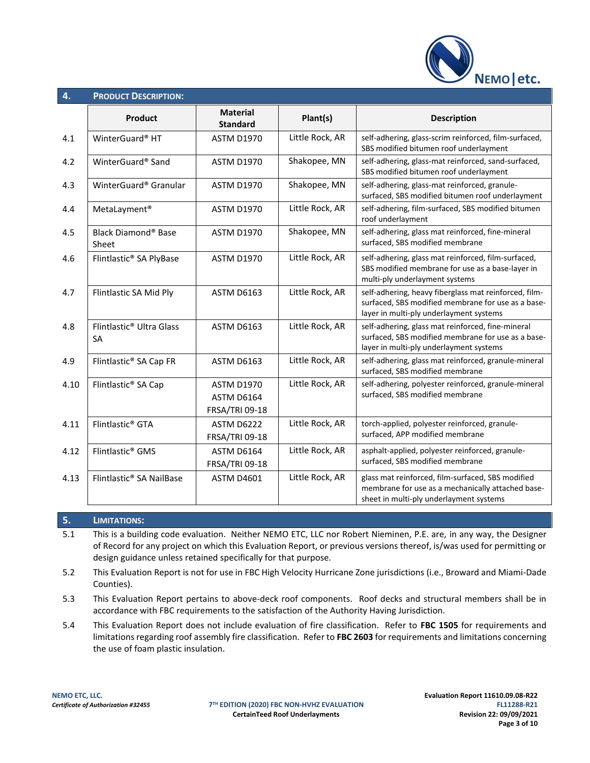

| 4.   | <b>PRODUCT DESCRIPTION:</b>                       |                                                   |                 |                                                                                                                                                        |
|------|---------------------------------------------------|---------------------------------------------------|-----------------|--------------------------------------------------------------------------------------------------------------------------------------------------------|
|      | Product                                           | <b>Material</b><br><b>Standard</b>                | Plant(s)        | <b>Description</b>                                                                                                                                     |
| 4.1  | WinterGuard® HT                                   | <b>ASTM D1970</b>                                 | Little Rock, AR | self-adhering, glass-scrim reinforced, film-surfaced,<br>SBS modified bitumen roof underlayment                                                        |
| 4.2  | WinterGuard® Sand                                 | <b>ASTM D1970</b>                                 | Shakopee, MN    | self-adhering, glass-mat reinforced, sand-surfaced,<br>SBS modified bitumen roof underlayment                                                          |
| 4.3  | WinterGuard® Granular                             | <b>ASTM D1970</b>                                 | Shakopee, MN    | self-adhering, glass-mat reinforced, granule-<br>surfaced, SBS modified bitumen roof underlayment                                                      |
| 4.4  | MetaLayment <sup>®</sup>                          | <b>ASTM D1970</b>                                 | Little Rock, AR | self-adhering, film-surfaced, SBS modified bitumen<br>roof underlayment                                                                                |
| 4.5  | Black Diamond® Base<br>Sheet                      | <b>ASTM D1970</b>                                 | Shakopee, MN    | self-adhering, glass mat reinforced, fine-mineral<br>surfaced, SBS modified membrane                                                                   |
| 4.6  | Flintlastic® SA PlyBase                           | <b>ASTM D1970</b>                                 | Little Rock, AR | self-adhering, glass mat reinforced, film-surfaced,<br>SBS modified membrane for use as a base-layer in<br>multi-ply underlayment systems              |
| 4.7  | Flintlastic SA Mid Ply                            | <b>ASTM D6163</b>                                 | Little Rock, AR | self-adhering, heavy fiberglass mat reinforced, film-<br>surfaced, SBS modified membrane for use as a base-<br>layer in multi-ply underlayment systems |
| 4.8  | Flintlastic <sup>®</sup> Ultra Glass<br><b>SA</b> | <b>ASTM D6163</b>                                 | Little Rock, AR | self-adhering, glass mat reinforced, fine-mineral<br>surfaced, SBS modified membrane for use as a base-<br>layer in multi-ply underlayment systems     |
| 4.9  | Flintlastic® SA Cap FR                            | <b>ASTM D6163</b>                                 | Little Rock, AR | self-adhering, glass mat reinforced, granule-mineral<br>surfaced, SBS modified membrane                                                                |
| 4.10 | Flintlastic <sup>®</sup> SA Cap                   | <b>ASTM D1970</b><br>ASTM D6164<br>FRSA/TRI 09-18 | Little Rock, AR | self-adhering, polyester reinforced, granule-mineral<br>surfaced, SBS modified membrane                                                                |
| 4.11 | Flintlastic <sup>®</sup> GTA                      | ASTM D6222<br><b>FRSA/TRI 09-18</b>               | Little Rock, AR | torch-applied, polyester reinforced, granule-<br>surfaced, APP modified membrane                                                                       |
| 4.12 | Flintlastic <sup>®</sup> GMS                      | <b>ASTM D6164</b><br>FRSA/TRI 09-18               | Little Rock, AR | asphalt-applied, polyester reinforced, granule-<br>surfaced, SBS modified membrane                                                                     |
| 4.13 | Flintlastic® SA NailBase                          | <b>ASTM D4601</b>                                 | Little Rock, AR | glass mat reinforced, film-surfaced, SBS modified<br>membrane for use as a mechanically attached base-<br>sheet in multi-ply underlayment systems      |

# **5. LIMITATIONS:**

5.1 This is a building code evaluation. Neither NEMO ETC, LLC nor Robert Nieminen, P.E. are, in any way, the Designer of Record for any project on which this Evaluation Report, or previous versions thereof, is/was used for permitting or design guidance unless retained specifically for that purpose.

5.2 This Evaluation Report is not for use in FBC High Velocity Hurricane Zone jurisdictions (i.e., Broward and Miami-Dade Counties).

5.3 This Evaluation Report pertains to above-deck roof components. Roof decks and structural members shall be in accordance with FBC requirements to the satisfaction of the Authority Having Jurisdiction.

5.4 This Evaluation Report does not include evaluation of fire classification. Refer to **FBC 1505** for requirements and limitations regarding roof assembly fire classification. Refer to **FBC 2603** for requirements and limitations concerning the use of foam plastic insulation.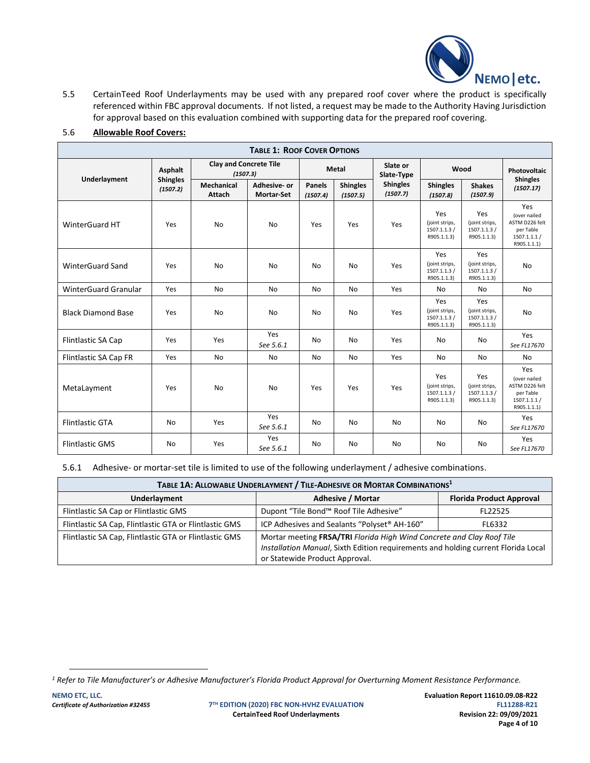

5.5 CertainTeed Roof Underlayments may be used with any prepared roof cover where the product is specifically referenced within FBC approval documents. If not listed, a request may be made to the Authority Having Jurisdiction for approval based on this evaluation combined with supporting data for the prepared roof covering.

| <b>TABLE 1: ROOF COVER OPTIONS</b> |                                                      |                      |                                  |                    |                             |                             |                                                      |                                                      |                                                                                   |
|------------------------------------|------------------------------------------------------|----------------------|----------------------------------|--------------------|-----------------------------|-----------------------------|------------------------------------------------------|------------------------------------------------------|-----------------------------------------------------------------------------------|
|                                    | <b>Clay and Concrete Tile</b><br>Asphalt<br>(1507.3) |                      | <b>Metal</b>                     |                    |                             | Slate or<br>Slate-Type      | Wood                                                 |                                                      | Photovoltaic                                                                      |
| Underlayment                       | <b>Shingles</b><br>(1507.2)                          | Mechanical<br>Attach | Adhesive-or<br><b>Mortar-Set</b> | Panels<br>(1507.4) | <b>Shingles</b><br>(1507.5) | <b>Shingles</b><br>(1507.7) | <b>Shingles</b><br>(1507.8)                          | <b>Shakes</b><br>(1507.9)                            | <b>Shingles</b><br>(1507.17)                                                      |
| WinterGuard HT                     | Yes                                                  | No                   | No                               | Yes                | Yes                         | Yes                         | Yes<br>(joint strips,<br>1507.1.1.3/<br>R905.1.1.3)  | Yes<br>(joint strips,<br>1507.1.1.3 /<br>R905.1.1.3) | Yes<br>(over nailed<br>ASTM D226 felt<br>per Table<br>1507.1.1.1/<br>R905.1.1.1)  |
| <b>WinterGuard Sand</b>            | Yes                                                  | No                   | No                               | No                 | No                          | Yes                         | Yes<br>(joint strips,<br>1507.1.1.3/<br>R905.1.1.3)  | Yes<br>(joint strips,<br>1507.1.1.3/<br>R905.1.1.3)  | <b>No</b>                                                                         |
| <b>WinterGuard Granular</b>        | Yes                                                  | No                   | No                               | No                 | No                          | Yes                         | No                                                   | No.                                                  | No                                                                                |
| <b>Black Diamond Base</b>          | Yes                                                  | No                   | No                               | No                 | <b>No</b>                   | Yes                         | Yes<br>(joint strips,<br>1507.1.1.3 /<br>R905.1.1.3) | Yes<br>(joint strips,<br>1507.1.1.3 /<br>R905.1.1.3) | <b>No</b>                                                                         |
| Flintlastic SA Cap                 | Yes                                                  | Yes                  | Yes<br>See 5.6.1                 | No                 | No                          | Yes                         | No                                                   | No                                                   | Yes<br>See FL17670                                                                |
| <b>Flintlastic SA Cap FR</b>       | Yes                                                  | No                   | No                               | No                 | No                          | Yes                         | <b>No</b>                                            | No                                                   | N <sub>o</sub>                                                                    |
| MetaLayment                        | Yes                                                  | <b>No</b>            | <b>No</b>                        | Yes                | Yes                         | Yes                         | Yes<br>(joint strips,<br>1507.1.1.3 /<br>R905.1.1.3) | Yes<br>(joint strips,<br>1507.1.1.3/<br>R905.1.1.3)  | Yes<br>(over nailed<br>ASTM D226 felt<br>per Table<br>1507.1.1.1 /<br>R905.1.1.1) |
| <b>Flintlastic GTA</b>             | <b>No</b>                                            | Yes                  | Yes<br>See 5.6.1                 | No                 | No                          | No                          | No                                                   | No                                                   | Yes<br>See FL17670                                                                |
| <b>Flintlastic GMS</b>             | <b>No</b>                                            | Yes                  | Yes<br>See 5.6.1                 | No                 | No                          | No                          | No                                                   | No                                                   | Yes<br>See FL17670                                                                |

# 5.6 **Allowable Roof Covers:**

5.6.1 Adhesive- or mortar-set tile is limited to use of the following underlayment / adhesive combinations.

| TABLE 1A: ALLOWABLE UNDERLAYMENT / TILE-ADHESIVE OR MORTAR COMBINATIONS <sup>1</sup> |                                              |                                                                                                                                                            |  |
|--------------------------------------------------------------------------------------|----------------------------------------------|------------------------------------------------------------------------------------------------------------------------------------------------------------|--|
| Underlayment                                                                         | <b>Adhesive / Mortar</b>                     | <b>Florida Product Approval</b>                                                                                                                            |  |
| Flintlastic SA Cap or Flintlastic GMS                                                | Dupont "Tile Bond™ Roof Tile Adhesive"       | FL22525                                                                                                                                                    |  |
| Flintlastic SA Cap, Flintlastic GTA or Flintlastic GMS                               | ICP Adhesives and Sealants "Polyset® AH-160" | FL6332                                                                                                                                                     |  |
| Flintlastic SA Cap, Flintlastic GTA or Flintlastic GMS                               | or Statewide Product Approval.               | Mortar meeting FRSA/TRI Florida High Wind Concrete and Clay Roof Tile<br>Installation Manual, Sixth Edition requirements and holding current Florida Local |  |

*<sup>1</sup> Refer to Tile Manufacturer's or Adhesive Manufacturer's Florida Product Approval for Overturning Moment Resistance Performance.*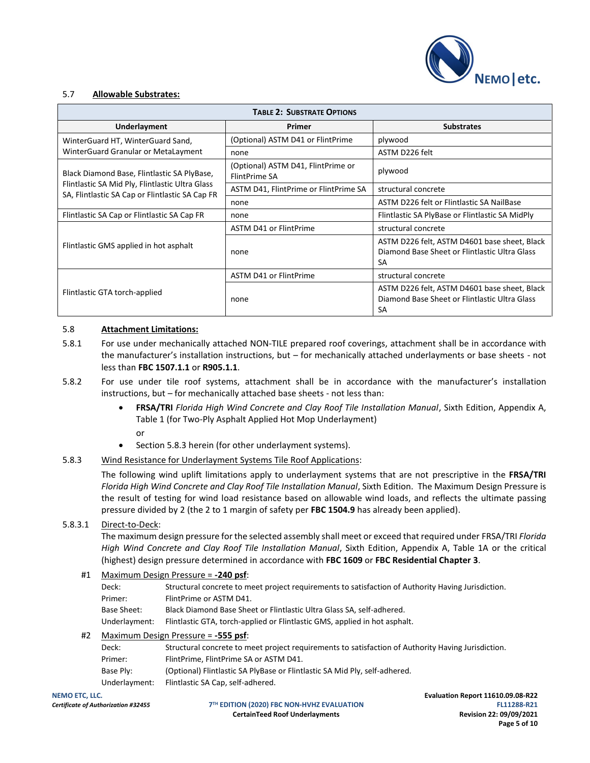

## 5.7 **Allowable Substrates:**

| <b>TABLE 2: SUBSTRATE OPTIONS</b>                                                                  |                                                     |                                                                                                            |  |  |
|----------------------------------------------------------------------------------------------------|-----------------------------------------------------|------------------------------------------------------------------------------------------------------------|--|--|
| Underlayment                                                                                       | Primer                                              | <b>Substrates</b>                                                                                          |  |  |
| WinterGuard HT, WinterGuard Sand,                                                                  | (Optional) ASTM D41 or FlintPrime                   | plywood                                                                                                    |  |  |
| WinterGuard Granular or MetaLayment                                                                | none                                                | ASTM D226 felt                                                                                             |  |  |
| Black Diamond Base, Flintlastic SA PlyBase,                                                        | (Optional) ASTM D41, FlintPrime or<br>FlintPrime SA | plywood                                                                                                    |  |  |
| Flintlastic SA Mid Ply, Flintlastic Ultra Glass<br>SA, Flintlastic SA Cap or Flintlastic SA Cap FR | ASTM D41, FlintPrime or FlintPrime SA               | structural concrete                                                                                        |  |  |
|                                                                                                    | none                                                | ASTM D226 felt or Flintlastic SA NailBase                                                                  |  |  |
| Flintlastic SA Cap or Flintlastic SA Cap FR                                                        | none                                                | Flintlastic SA PlyBase or Flintlastic SA MidPly                                                            |  |  |
|                                                                                                    | ASTM D41 or FlintPrime                              | structural concrete                                                                                        |  |  |
| Flintlastic GMS applied in hot asphalt                                                             | none                                                | ASTM D226 felt, ASTM D4601 base sheet, Black<br>Diamond Base Sheet or Flintlastic Ultra Glass<br><b>SA</b> |  |  |
|                                                                                                    | <b>ASTM D41 or FlintPrime</b>                       | structural concrete                                                                                        |  |  |
| Flintlastic GTA torch-applied                                                                      | none                                                | ASTM D226 felt, ASTM D4601 base sheet, Black<br>Diamond Base Sheet or Flintlastic Ultra Glass<br>SА        |  |  |

## 5.8 **Attachment Limitations:**

- 5.8.1 For use under mechanically attached NON-TILE prepared roof coverings, attachment shall be in accordance with the manufacturer's installation instructions, but – for mechanically attached underlayments or base sheets - not less than **FBC 1507.1.1** or **R905.1.1**.
- 5.8.2 For use under tile roof systems, attachment shall be in accordance with the manufacturer's installation instructions, but – for mechanically attached base sheets - not less than:
	- **FRSA/TRI** *Florida High Wind Concrete and Clay Roof Tile Installation Manual*, Sixth Edition, Appendix A, Table 1 (for Two-Ply Asphalt Applied Hot Mop Underlayment)
		- or
	- Section 5.8.3 herein (for other underlayment systems).

## 5.8.3 Wind Resistance for Underlayment Systems Tile Roof Applications:

The following wind uplift limitations apply to underlayment systems that are not prescriptive in the **FRSA/TRI** *Florida High Wind Concrete and Clay Roof Tile Installation Manual*, Sixth Edition. The Maximum Design Pressure is the result of testing for wind load resistance based on allowable wind loads, and reflects the ultimate passing pressure divided by 2 (the 2 to 1 margin of safety per **FBC 1504.9** has already been applied).

# 5.8.3.1 Direct-to-Deck:

The maximum design pressure for the selected assembly shall meet or exceed that required under FRSA/TRI *Florida High Wind Concrete and Clay Roof Tile Installation Manual*, Sixth Edition, Appendix A, Table 1A or the critical (highest) design pressure determined in accordance with **FBC 1609** or **FBC Residential Chapter 3**.

## #1 Maximum Design Pressure = **-240 psf**:

| Deck:         | Structural concrete to meet project requirements to satisfaction of Authority Having Jurisdiction. |
|---------------|----------------------------------------------------------------------------------------------------|
| Primer:       | FlintPrime or ASTM D41.                                                                            |
| Base Sheet:   | Black Diamond Base Sheet or Flintlastic Ultra Glass SA, self-adhered.                              |
| Underlayment: | Flintlastic GTA, torch-applied or Flintlastic GMS, applied in hot asphalt.                         |

## #2 Maximum Design Pressure = **-555 psf**:

| Deck:         | Structural concrete to meet project requirements to satisfaction of Authority Having Jurisdiction. |
|---------------|----------------------------------------------------------------------------------------------------|
| Primer:       | FlintPrime. FlintPrime SA or ASTM D41.                                                             |
| Base Ply:     | (Optional) Flintlastic SA PlyBase or Flintlastic SA Mid Ply, self-adhered.                         |
| Underlayment: | Flintlastic SA Cap, self-adhered.                                                                  |

**TH EDITION (2020) FBC NON-HVHZ EVALUATION FL11288-R21 CertainTeed Roof Underlayments Revision 22: 09/09/2021**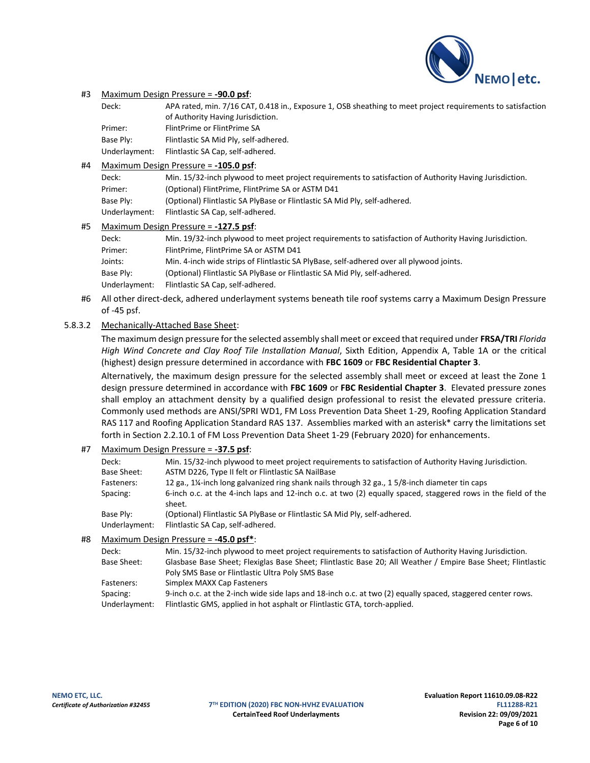

### #3 Maximum Design Pressure = **-90.0 psf**:

Deck: APA rated, min. 7/16 CAT, 0.418 in., Exposure 1, OSB sheathing to meet project requirements to satisfaction of Authority Having Jurisdiction. Primer: FlintPrime or FlintPrime SA Base Ply: Flintlastic SA Mid Ply, self-adhered. Underlayment: Flintlastic SA Cap, self-adhered.

#### #4 Maximum Design Pressure = **-105.0 psf**:

| Deck:         | Min. 15/32-inch plywood to meet project requirements to satisfaction of Authority Having Jurisdiction. |
|---------------|--------------------------------------------------------------------------------------------------------|
| Primer:       | (Optional) FlintPrime, FlintPrime SA or ASTM D41                                                       |
| Base Ply:     | (Optional) Flintlastic SA PlyBase or Flintlastic SA Mid Ply, self-adhered.                             |
| Underlayment: | Flintlastic SA Cap, self-adhered.                                                                      |

#### #5 Maximum Design Pressure = **-127.5 psf**:

| Deck:         | Min. 19/32-inch plywood to meet project requirements to satisfaction of Authority Having Jurisdiction. |
|---------------|--------------------------------------------------------------------------------------------------------|
| Primer:       | FlintPrime, FlintPrime SA or ASTM D41                                                                  |
| Joints:       | Min. 4-inch wide strips of Flintlastic SA PlyBase, self-adhered over all plywood joints.               |
| Base Ply:     | (Optional) Flintlastic SA PlyBase or Flintlastic SA Mid Ply, self-adhered.                             |
| Underlayment: | Flintlastic SA Cap, self-adhered.                                                                      |

#6 All other direct-deck, adhered underlayment systems beneath tile roof systems carry a Maximum Design Pressure of -45 psf.

## 5.8.3.2 Mechanically-Attached Base Sheet:

The maximum design pressure for the selected assembly shall meet or exceed that required under **FRSA/TRI** *Florida High Wind Concrete and Clay Roof Tile Installation Manual*, Sixth Edition, Appendix A, Table 1A or the critical (highest) design pressure determined in accordance with **FBC 1609** or **FBC Residential Chapter 3**.

Alternatively, the maximum design pressure for the selected assembly shall meet or exceed at least the Zone 1 design pressure determined in accordance with **FBC 1609** or **FBC Residential Chapter 3**. Elevated pressure zones shall employ an attachment density by a qualified design professional to resist the elevated pressure criteria. Commonly used methods are ANSI/SPRI WD1, FM Loss Prevention Data Sheet 1-29, Roofing Application Standard RAS 117 and Roofing Application Standard RAS 137. Assemblies marked with an asterisk\* carry the limitations set forth in Section 2.2.10.1 of FM Loss Prevention Data Sheet 1-29 (February 2020) for enhancements.

## #7 Maximum Design Pressure = **-37.5 psf**:

| Deck:<br>Base Sheet: | Min. 15/32-inch plywood to meet project requirements to satisfaction of Authority Having Jurisdiction.<br>ASTM D226, Type II felt or Flintlastic SA NailBase |
|----------------------|--------------------------------------------------------------------------------------------------------------------------------------------------------------|
| Fasteners:           | 12 ga., 1¼-inch long galvanized ring shank nails through 32 ga., 1 5/8-inch diameter tin caps                                                                |
| Spacing:             | 6-inch o.c. at the 4-inch laps and 12-inch o.c. at two (2) equally spaced, staggered rows in the field of the<br>sheet.                                      |
| Base Ply:            | (Optional) Flintlastic SA PlyBase or Flintlastic SA Mid Ply, self-adhered.                                                                                   |
| Underlayment:        | Flintlastic SA Cap, self-adhered.                                                                                                                            |
|                      | $M_{\odot}$                                                                                                                                                  |

## #8 Maximum Design Pressure = **-45.0 psf\***:

| Deck:         | Min. 15/32-inch plywood to meet project requirements to satisfaction of Authority Having Jurisdiction.       |
|---------------|--------------------------------------------------------------------------------------------------------------|
| Base Sheet:   | Glasbase Base Sheet; Flexiglas Base Sheet; Flintlastic Base 20; All Weather / Empire Base Sheet; Flintlastic |
|               | Poly SMS Base or Flintlastic Ultra Poly SMS Base                                                             |
| Fasteners:    | Simplex MAXX Cap Fasteners                                                                                   |
| Spacing:      | 9-inch o.c. at the 2-inch wide side laps and 18-inch o.c. at two (2) equally spaced, staggered center rows.  |
| Underlayment: | Flintlastic GMS, applied in hot asphalt or Flintlastic GTA, torch-applied.                                   |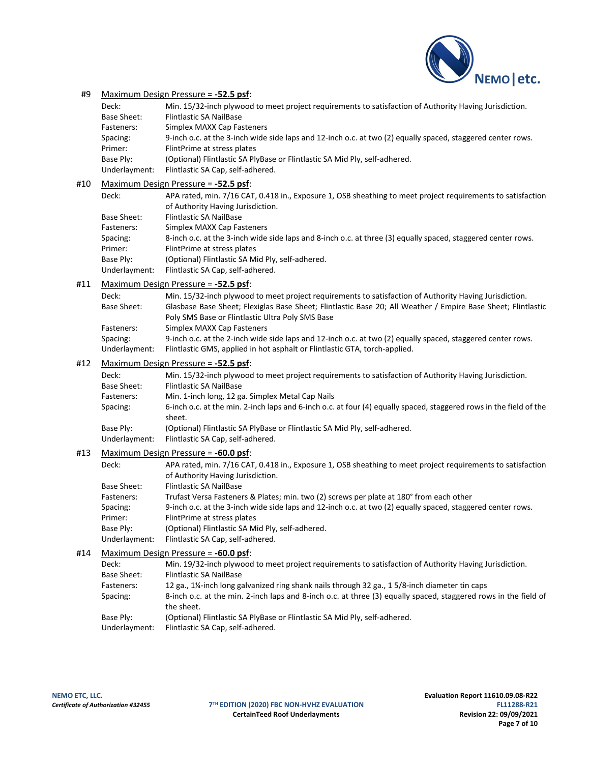

## #9 Maximum Design Pressure = **-52.5 psf**:

| Deck:         | Min. 15/32-inch plywood to meet project requirements to satisfaction of Authority Having Jurisdiction.      |
|---------------|-------------------------------------------------------------------------------------------------------------|
| Base Sheet:   | <b>Flintlastic SA NailBase</b>                                                                              |
| Fasteners:    | Simplex MAXX Cap Fasteners                                                                                  |
| Spacing:      | 9-inch o.c. at the 3-inch wide side laps and 12-inch o.c. at two (2) equally spaced, staggered center rows. |
| Primer:       | FlintPrime at stress plates                                                                                 |
| Base Ply:     | (Optional) Flintlastic SA PlyBase or Flintlastic SA Mid Ply, self-adhered.                                  |
| Underlayment: | Flintlastic SA Cap, self-adhered.                                                                           |

#### #10 Maximum Design Pressure = **-52.5 psf**:

| Deck:         | APA rated, min. 7/16 CAT, 0.418 in., Exposure 1, OSB sheathing to meet project requirements to satisfaction<br>of Authority Having Jurisdiction. |
|---------------|--------------------------------------------------------------------------------------------------------------------------------------------------|
| Base Sheet:   | <b>Flintlastic SA NailBase</b>                                                                                                                   |
| Fasteners:    | Simplex MAXX Cap Fasteners                                                                                                                       |
| Spacing:      | 8-inch o.c. at the 3-inch wide side laps and 8-inch o.c. at three (3) equally spaced, staggered center rows.                                     |
| Primer:       | FlintPrime at stress plates                                                                                                                      |
| Base Ply:     | (Optional) Flintlastic SA Mid Ply, self-adhered.                                                                                                 |
| Underlayment: | Flintlastic SA Cap, self-adhered.                                                                                                                |

### #11 Maximum Design Pressure = **-52.5 psf**:

| Deck:                     | Min. 15/32-inch plywood to meet project requirements to satisfaction of Authority Having Jurisdiction.                                                                                    |
|---------------------------|-------------------------------------------------------------------------------------------------------------------------------------------------------------------------------------------|
| Base Sheet:               | Glasbase Base Sheet; Flexiglas Base Sheet; Flintlastic Base 20; All Weather / Empire Base Sheet; Flintlastic                                                                              |
|                           | Poly SMS Base or Flintlastic Ultra Poly SMS Base                                                                                                                                          |
| Fasteners:                | Simplex MAXX Cap Fasteners                                                                                                                                                                |
| Spacing:<br>Underlayment: | 9-inch o.c. at the 2-inch wide side laps and 12-inch o.c. at two (2) equally spaced, staggered center rows.<br>Flintlastic GMS, applied in hot asphalt or Flintlastic GTA, torch-applied. |
|                           |                                                                                                                                                                                           |

## #12 Maximum Design Pressure = **-52.5 psf**:

| Deck:         | Min. 15/32-inch plywood to meet project requirements to satisfaction of Authority Having Jurisdiction.                       |
|---------------|------------------------------------------------------------------------------------------------------------------------------|
| Base Sheet:   | <b>Flintlastic SA NailBase</b>                                                                                               |
| Fasteners:    | Min. 1-inch long, 12 ga. Simplex Metal Cap Nails                                                                             |
| Spacing:      | 6-inch o.c. at the min. 2-inch laps and 6-inch o.c. at four (4) equally spaced, staggered rows in the field of the<br>sheet. |
| Base Ply:     | (Optional) Flintlastic SA PlyBase or Flintlastic SA Mid Ply, self-adhered.                                                   |
| Underlayment: | Flintlastic SA Cap, self-adhered.                                                                                            |

## #13 Maximum Design Pressure = **-60.0 psf**:

| Deck:         | APA rated, min. 7/16 CAT, 0.418 in., Exposure 1, OSB sheathing to meet project requirements to satisfaction<br>of Authority Having Jurisdiction. |
|---------------|--------------------------------------------------------------------------------------------------------------------------------------------------|
| Base Sheet:   | <b>Flintlastic SA NailBase</b>                                                                                                                   |
| Fasteners:    | Trufast Versa Fasteners & Plates; min. two (2) screws per plate at 180° from each other                                                          |
| Spacing:      | 9-inch o.c. at the 3-inch wide side laps and 12-inch o.c. at two (2) equally spaced, staggered center rows.                                      |
| Primer:       | FlintPrime at stress plates                                                                                                                      |
| Base Ply:     | (Optional) Flintlastic SA Mid Ply, self-adhered.                                                                                                 |
| Underlayment: | Flintlastic SA Cap, self-adhered.                                                                                                                |
|               |                                                                                                                                                  |

# #14 Maximum Design Pressure = **-60.0 psf**:

| Deck:         | Min. 19/32-inch plywood to meet project requirements to satisfaction of Authority Having Jurisdiction.                        |
|---------------|-------------------------------------------------------------------------------------------------------------------------------|
| Base Sheet:   | <b>Flintlastic SA NailBase</b>                                                                                                |
| Fasteners:    | 12 ga., 1 <sup>1</sup> / <sub>2</sub> inch long galvanized ring shank nails through 32 ga., 1 5/8-inch diameter tin caps      |
| Spacing:      | 8-inch o.c. at the min. 2-inch laps and 8-inch o.c. at three (3) equally spaced, staggered rows in the field of<br>the sheet. |
| Base Ply:     | (Optional) Flintlastic SA PlyBase or Flintlastic SA Mid Ply, self-adhered.                                                    |
| Underlayment: | Flintlastic SA Cap, self-adhered.                                                                                             |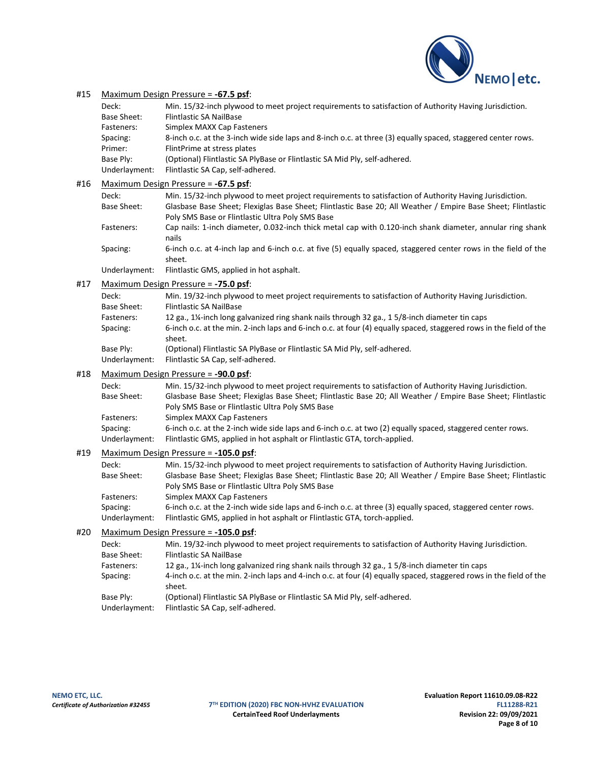

## #15 Maximum Design Pressure = **-67.5 psf**:

| Deck:         | Min. 15/32-inch plywood to meet project requirements to satisfaction of Authority Having Jurisdiction.       |
|---------------|--------------------------------------------------------------------------------------------------------------|
| Base Sheet:   | <b>Flintlastic SA NailBase</b>                                                                               |
| Fasteners:    | Simplex MAXX Cap Fasteners                                                                                   |
| Spacing:      | 8-inch o.c. at the 3-inch wide side laps and 8-inch o.c. at three (3) equally spaced, staggered center rows. |
| Primer:       | FlintPrime at stress plates                                                                                  |
| Base Ply:     | (Optional) Flintlastic SA PlyBase or Flintlastic SA Mid Ply, self-adhered.                                   |
| Underlayment: | Flintlastic SA Cap, self-adhered.                                                                            |

## #16 Maximum Design Pressure = **-67.5 psf**:

| Deck:                             | Min. 15/32-inch plywood to meet project requirements to satisfaction of Authority Having Jurisdiction.                    |
|-----------------------------------|---------------------------------------------------------------------------------------------------------------------------|
| Base Sheet:                       | Glasbase Base Sheet; Flexiglas Base Sheet; Flintlastic Base 20; All Weather / Empire Base Sheet; Flintlastic              |
|                                   | Poly SMS Base or Flintlastic Ultra Poly SMS Base                                                                          |
| Fasteners:                        | Cap nails: 1-inch diameter, 0.032-inch thick metal cap with 0.120-inch shank diameter, annular ring shank<br>nails        |
| Spacing:                          | 6-inch o.c. at 4-inch lap and 6-inch o.c. at five (5) equally spaced, staggered center rows in the field of the<br>sheet. |
| the distribution of a contract of | interests and a China Constantial and the terms of a contract to                                                          |

Underlayment: Flintlastic GMS, applied in hot asphalt.

#### #17 Maximum Design Pressure = **-75.0 psf**:

| Deck:         | Min. 19/32-inch plywood to meet project requirements to satisfaction of Authority Having Jurisdiction.                   |
|---------------|--------------------------------------------------------------------------------------------------------------------------|
| Base Sheet:   | <b>Flintlastic SA NailBase</b>                                                                                           |
| Fasteners:    | 12 ga., 1 <sup>1</sup> / <sub>2</sub> inch long galvanized ring shank nails through 32 ga., 1 5/8-inch diameter tin caps |
| Spacing:      | 6-inch o.c. at the min. 2-inch laps and 6-inch o.c. at four (4) equally spaced, staggered rows in the field of the       |
|               | sheet.                                                                                                                   |
| Base Ply:     | (Optional) Flintlastic SA PlyBase or Flintlastic SA Mid Ply, self-adhered.                                               |
| Underlayment: | Flintlastic SA Cap, self-adhered.                                                                                        |

#### #18 Maximum Design Pressure = **-90.0 psf**:

| Deck:         | Min. 15/32-inch plywood to meet project requirements to satisfaction of Authority Having Jurisdiction.       |
|---------------|--------------------------------------------------------------------------------------------------------------|
| Base Sheet:   | Glasbase Base Sheet; Flexiglas Base Sheet; Flintlastic Base 20; All Weather / Empire Base Sheet; Flintlastic |
|               | Poly SMS Base or Flintlastic Ultra Poly SMS Base                                                             |
| Fasteners:    | Simplex MAXX Cap Fasteners                                                                                   |
| Spacing:      | 6-inch o.c. at the 2-inch wide side laps and 6-inch o.c. at two (2) equally spaced, staggered center rows.   |
| Underlayment: | Flintlastic GMS, applied in hot asphalt or Flintlastic GTA, torch-applied.                                   |
|               | $M$ avimum Decian Preccure - $-105$ D nef                                                                    |

#### #19 Maximum Design Pressure = **-105.0 psf**:

| Deck:         | Min. 15/32-inch plywood to meet project requirements to satisfaction of Authority Having Jurisdiction.       |
|---------------|--------------------------------------------------------------------------------------------------------------|
| Base Sheet:   | Glasbase Base Sheet; Flexiglas Base Sheet; Flintlastic Base 20; All Weather / Empire Base Sheet; Flintlastic |
|               | Poly SMS Base or Flintlastic Ultra Poly SMS Base                                                             |
| Fasteners:    | Simplex MAXX Cap Fasteners                                                                                   |
| Spacing:      | 6-inch o.c. at the 2-inch wide side laps and 6-inch o.c. at three (3) equally spaced, staggered center rows. |
| Underlayment: | Flintlastic GMS, applied in hot asphalt or Flintlastic GTA, torch-applied.                                   |

## #20 Maximum Design Pressure = **-105.0 psf**:

| Deck:         | Min. 19/32-inch plywood to meet project requirements to satisfaction of Authority Having Jurisdiction.                       |
|---------------|------------------------------------------------------------------------------------------------------------------------------|
| Base Sheet:   | <b>Flintlastic SA NailBase</b>                                                                                               |
| Fasteners:    | 12 ga., 1 <sup>1</sup> / <sub>2</sub> inch long galvanized ring shank nails through 32 ga., 1 5/8-inch diameter tin caps     |
| Spacing:      | 4-inch o.c. at the min. 2-inch laps and 4-inch o.c. at four (4) equally spaced, staggered rows in the field of the<br>sheet. |
| Base Ply:     | (Optional) Flintlastic SA PlyBase or Flintlastic SA Mid Ply, self-adhered.                                                   |
| Underlayment: | Flintlastic SA Cap, self-adhered.                                                                                            |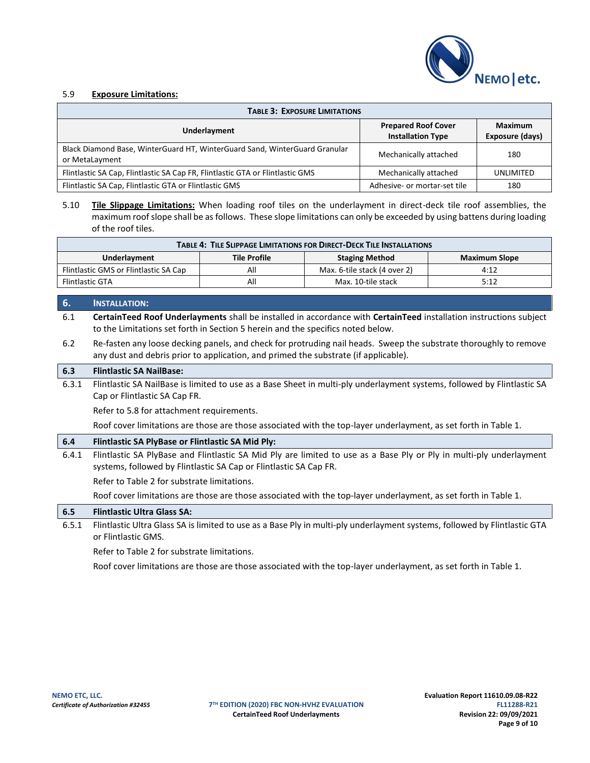

# 5.9 **Exposure Limitations:**

| <b>TABLE 3: EXPOSURE LIMITATIONS</b>                                                         |                                                        |                                   |
|----------------------------------------------------------------------------------------------|--------------------------------------------------------|-----------------------------------|
| Underlayment                                                                                 | <b>Prepared Roof Cover</b><br><b>Installation Type</b> | <b>Maximum</b><br>Exposure (days) |
| Black Diamond Base, WinterGuard HT, WinterGuard Sand, WinterGuard Granular<br>or MetaLayment | Mechanically attached                                  | 180                               |
| Flintlastic SA Cap, Flintlastic SA Cap FR, Flintlastic GTA or Flintlastic GMS                | Mechanically attached                                  | UNLIMITED                         |
| Flintlastic SA Cap, Flintlastic GTA or Flintlastic GMS                                       | Adhesive- or mortar-set tile                           | 180                               |

5.10 **Tile Slippage Limitations:** When loading roof tiles on the underlayment in direct-deck tile roof assemblies, the maximum roof slope shall be as follows. These slope limitations can only be exceeded by using battens during loading of the roof tiles.

| <b>TABLE 4: TILE SLIPPAGE LIMITATIONS FOR DIRECT-DECK TILE INSTALLATIONS</b> |                     |                              |               |  |
|------------------------------------------------------------------------------|---------------------|------------------------------|---------------|--|
| Underlayment                                                                 | <b>Tile Profile</b> | <b>Staging Method</b>        | Maximum Slope |  |
| Flintlastic GMS or Flintlastic SA Cap                                        | All                 | Max. 6-tile stack (4 over 2) | 4:12          |  |
| <b>Flintlastic GTA</b>                                                       | All                 | Max. 10-tile stack           | 5:12          |  |

### **6. INSTALLATION:**

6.1 **CertainTeed Roof Underlayments** shall be installed in accordance with **CertainTeed** installation instructions subject to the Limitations set forth in Section 5 herein and the specifics noted below.

6.2 Re-fasten any loose decking panels, and check for protruding nail heads. Sweep the substrate thoroughly to remove any dust and debris prior to application, and primed the substrate (if applicable).

## **6.3 Flintlastic SA NailBase:**

6.3.1 Flintlastic SA NailBase is limited to use as a Base Sheet in multi-ply underlayment systems, followed by Flintlastic SA Cap or Flintlastic SA Cap FR.

Refer to 5.8 for attachment requirements.

Roof cover limitations are those are those associated with the top-layer underlayment, as set forth in Table 1.

## **6.4 Flintlastic SA PlyBase or Flintlastic SA Mid Ply:**

6.4.1 Flintlastic SA PlyBase and Flintlastic SA Mid Ply are limited to use as a Base Ply or Ply in multi-ply underlayment systems, followed by Flintlastic SA Cap or Flintlastic SA Cap FR.

Refer to Table 2 for substrate limitations.

Roof cover limitations are those are those associated with the top-layer underlayment, as set forth in Table 1.

**6.5 Flintlastic Ultra Glass SA:**

6.5.1 Flintlastic Ultra Glass SA is limited to use as a Base Ply in multi-ply underlayment systems, followed by Flintlastic GTA or Flintlastic GMS.

Refer to Table 2 for substrate limitations.

Roof cover limitations are those are those associated with the top-layer underlayment, as set forth in Table 1.